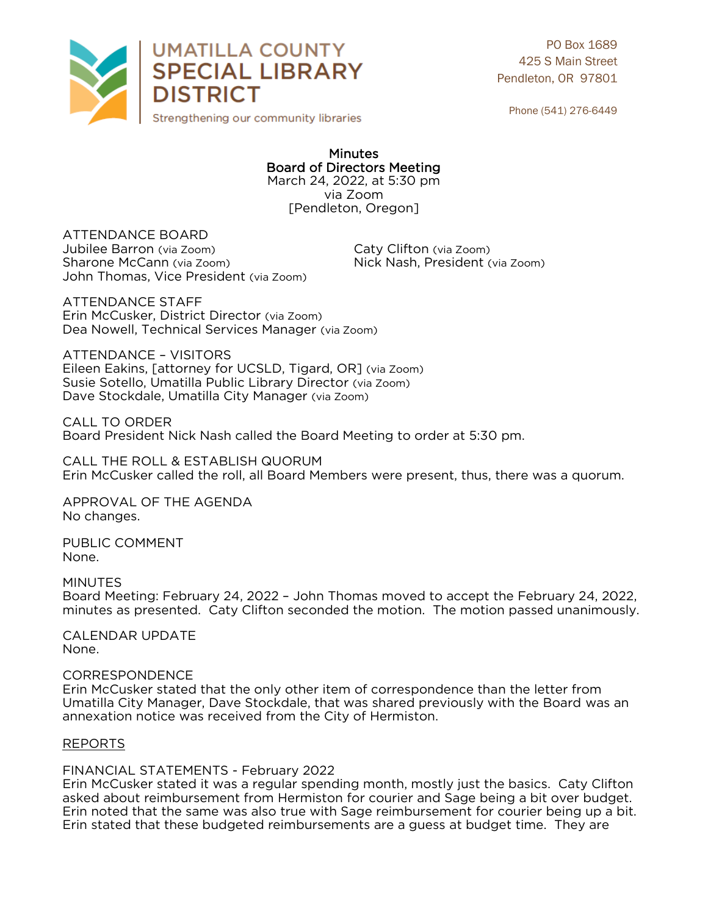

PO Box 1689 425 S Main Street Pendleton, OR 97801

Phone (541) 276-6449

### **Minutes Board of Directors Meeting** March 24, 2022, at 5:30 pm via Zoom [Pendleton, Oregon]

[Pendleton, Oregon]

**ATTENDANCE BOARD** Jubilee Barron (via Zoom) Jubilee Barron (via Zoom) Caty Clifton (via Zoom) John Thomas, Vice President (via Zoom) John Thomas, Vice President (via Zoom)

ATTFNDANCF STAFF Erin McCusker, District Director (via Zoom) Dea Nowell, Technical Services Manager (via Zoom) Dea Nowell, Technical Services Manager (via Zoom)

**ATTENDANCE - VISITORS** Eileen Eakins, [attorney for UCSLD, Tigard, OR] (via Zoom) Susie Sotello, Umatilla Public Library Director (via Zoom) Susite Secondy, Susialismo Public Public, 2006, (via 2008)<br>Dave Stockdale, Umatilla City Manager (via Zoom) Dave Stockdale, Umatilla City Manager (via Zoom)

CALL TO ORDER Board President Nick Nash called the Board Meeting to order at 5:30 pm. Board President Nick Nash called the Board Meeting to order at 5:30 pm.

CALL THE ROLL OF THE ROLL AND CALL THE ROLL OF THE ROLL OF THE ROLL OF THE ROLL OF THE ROLL OF THE ROLL OF THE ROLL OF THE ROLL OF THE ROLL OF THE ROLL OF THE ROLL OF THE ROLL OF THE ROLL OF THE ROLL OF THE ROLL OF THE ROL Erin McCusker called the roll, all Board Members were present, thus, there was a quorum.

APPROVAL OF THE AGENDA<br>No changes. No changes.

PUBLIC COMMENT None. None.

**MINUTES** Board Meeting: February 24, 2022 - John Thomas moved to accept the February 24, 2022. minutes as presented. Caty Clifton seconded the motion. The motion passed unanimously. minutes as presented. Caty Clifton seconded the motion. The motion passed unanimously.

CALENDAR UPDATE<br>None. None.

## CORRESPONDENCE

Erin McCusker stated that the only other item of correspondence than the letter from Umatilla City Manager, Dave Stockdale, that was shared previously with the Board was an  $\mathcal{L}_{\text{M}}$  annexation notice was received from the City of Hermiston. annexation notice was received from the City of Hermiston.

# REPORTS

FINANCIAL STATEMENTS - February 2022<br>Erin McCusker stated it was a regular spending month, mostly just the basics. Caty Clifton asked about reimbursement from Hermiston for courier and Sage being a bit over budget. Erin noted that the same was also true with Sage reimbursement for courier being up a bit. Frin stated that these budgeted reimbursements are a quess at budget time. They are Erin stated that these budgeted reimbursements are a guess at budget time. They are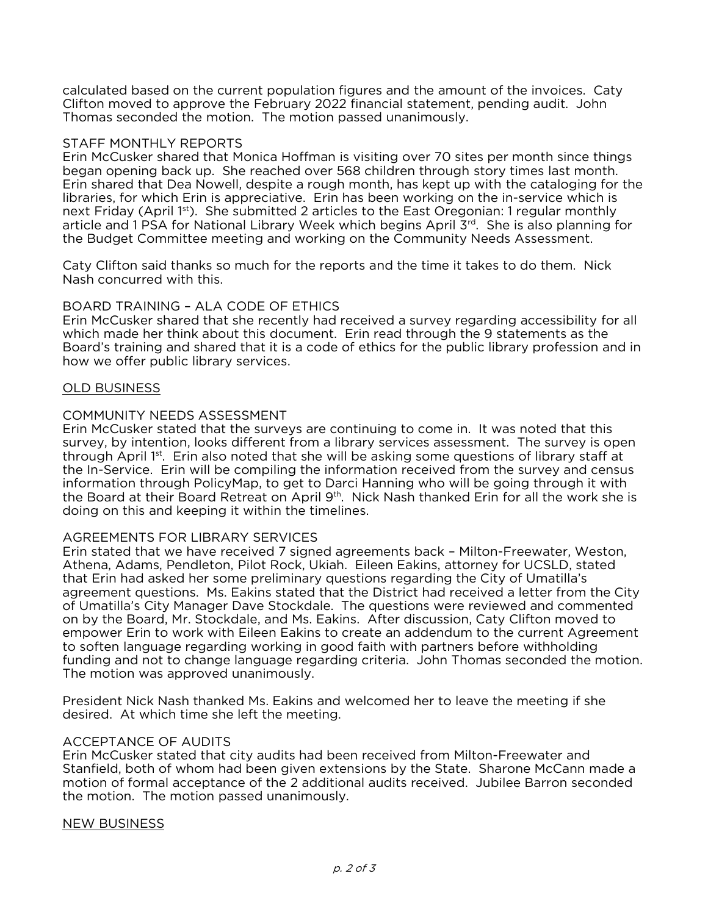calculated based on the current population figures and the amount of the invoices. Caty<br>Clifton moved to approve the February 2022 financial statement, pending audit. John Thomas seconded the motion. The motion passed unanimously. Thomas seconded the motion. The motion passed unanimously.

## STAFF MONTHLY REPORTS

Erin McCusker shared that Monica Hoffman is visiting over 70 sites per month since things began opening back up. She reached over 568 children through story times last month. Erin shared that Dea Nowell, despite a rough month, has kept up with the cataloging for the libraries, for which Erin is appreciative. Erin has been working on the in-service which is next Friday (April 1<sup>st</sup>). She submitted 2 articles to the East Oregonian: 1 regular monthly article and 1 PSA for National Library Week which begins April  $3<sup>rd</sup>$ . She is also planning for article and 1 PSA for National Library Week which begins April 3rd. She is also planning for<br>the Budget Committee meeting and working on the Community Needs Assessment. the Budget Committee meeting and working on the Community Needs Assessment.

Caty Clifton said thanks so much for the reports and the time it takes to do them. Nick Nash concurred with this.

BOARD TRAINING - ALA CODE OF ETHICS<br>Erin McCusker shared that she recently had received a survey regarding accessibility for all which made her think about this document. Erin read through the 9 statements as the Board's training and shared that it is a code of ethics for the public library profession and in how we offer public library services. how we offer public library services.

# OLD BUSINESS

## COMMUNITY NEEDS ASSESSMENT

Erin McCusker stated that the surveys are continuing to come in. It was noted that this survey, by intention, looks different from a library services assessment. The survey is open through April 1<sup>st</sup>. Erin also noted that she will be asking some questions of library staff at the In-Service. Erin will be compiling the information received from the survey and census information through PolicyMap, to get to Darci Hanning who will be going through it with the Board at their Board Retreat on April  $9<sup>th</sup>$ . Nick Nash thanked Erin for all the work she is doing on this and keeping it within the timelines. doing on this and keeping it within the timelines.

AGREEMENTS FOR LIBRARY SERVICES<br>Erin stated that we have received 7 signed agreements back - Milton-Freewater, Weston, Athena, Adams, Pendleton, Pilot Rock, Ukiah. Eileen Eakins, attorney for UCSLD, stated that Erin had asked her some preliminary questions regarding the City of Umatilla's agreement questions. Ms. Eakins stated that the District had received a letter from the City of Umatilla's City Manager Dave Stockdale. The questions were reviewed and commented on by the Board, Mr. Stockdale, and Ms. Eakins. After discussion, Caty Clifton moved to empower Erin to work with Eileen Eakins to create an addendum to the current Agreement to soften language regarding working in good faith with partners before withholding funding and not to change language regarding criteria. John Thomas seconded the motion. The motion was approved unanimously. The motion was approved unanimously.

President Nick Nash thanked Ms. Eakins and welcomed her to leave the meeting if she desired. At which time she left the meeting. desired. At which time she left the meeting.

## ACCEPTANCE OF AUDITS

Erin McCusker stated that city audits had been received from Milton-Freewater and Stanfield, both of whom had been given extensions by the State. Sharone McCann made a motion of formal acceptance of the 2 additional audits received. Jubilee Barron seconded the motion. The motion passed unanimously. the motion. The motion passed unanimously.

## <u>NEW BUSINESS</u>